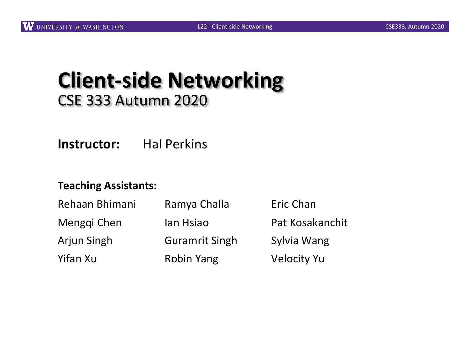### **Client-side Networking** CSE 333 Autumn 2020

**Instructor:** Hal Perkins

#### **Teaching Assistants:**

| Rehaan Bhimani | Ramya Challa          | Eric Chan          |
|----------------|-----------------------|--------------------|
| Menggi Chen    | lan Hsiao             | Pat Kosakanchit    |
| Arjun Singh    | <b>Guramrit Singh</b> | Sylvia Wang        |
| Yifan Xu       | <b>Robin Yang</b>     | <b>Velocity Yu</b> |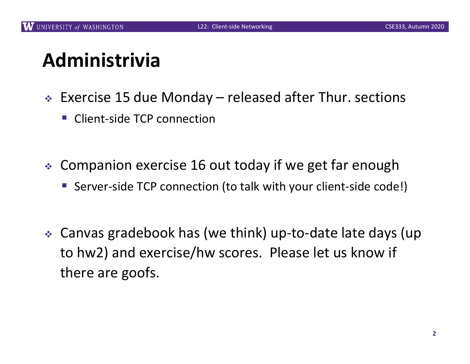# **Administrivia**

- $\div$  Exercise 15 due Monday released after Thur. sections
	- § Client-side TCP connection
- $\div$  Companion exercise 16 out today if we get far enough
	- Server-side TCP connection (to talk with your client-side code!)
- Canvas gradebook has (we think) up-to-date late days (up to hw2) and exercise/hw scores. Please let us know if there are goofs.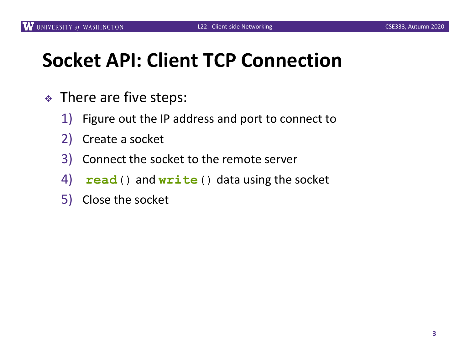# **Socket API: Client TCP Connection**

- $\div$  There are five steps:
	- 1) Figure out the IP address and port to connect to
	- 2) Create a socket
	- 3) Connect the socket to the remote server
	- 4) .**read**() and **write**() data using the socket
	- 5) Close the socket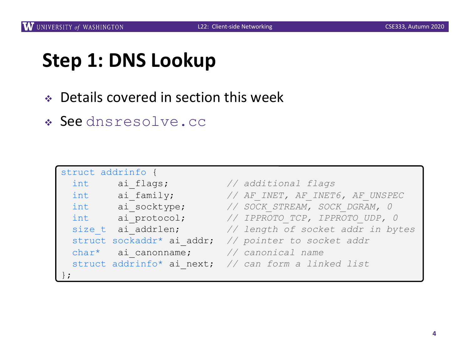## **Step 1: DNS Lookup**

- ◆ Details covered in section this week
- <sup>v</sup> See dnsresolve.cc

| struct addrinfo {                     |                                                      |  |
|---------------------------------------|------------------------------------------------------|--|
| int ai flags;                         | // additional flags                                  |  |
| int ai family;                        | // AF INET, AF INET6, AF UNSPEC                      |  |
|                                       | int ai socktype; // SOCK STREAM, SOCK DGRAM, 0       |  |
|                                       | int ai protocol; // IPPROTO TCP, IPPROTO UDP, 0      |  |
|                                       | size t ai addrlen; // length of socket addr in bytes |  |
|                                       | struct sockaddr* ai addr; // pointer to socket addr  |  |
| char* ai canonname; // canonical name |                                                      |  |
|                                       | struct addrinfo* ai next; // can form a linked list  |  |
|                                       |                                                      |  |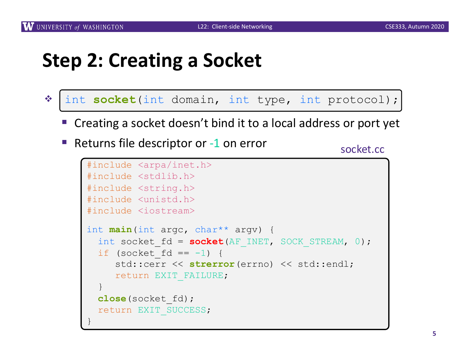## **Step 2: Creating a Socket**

- \* int socket(int domain, int type, int protocol);
	- Creating a socket doesn't bind it to a local address or port yet
	- Returns file descriptor or -1 on error

socket.cc

```
#include <arpa/inet.h>
#include <stdlib.h>
#include <string.h>
#include <unistd.h>
#include <iostream>
int main(int argc, char** argv) {
  int socket fd = socket(AF INET, SOCK STREAM, 0);
  if (socket fd == -1) {
     std::cerr << strerror(errno) << std::endl;
     return EXIT_FAILURE;
  }
  close(socket_fd);
  return EXIT_SUCCESS;
}
```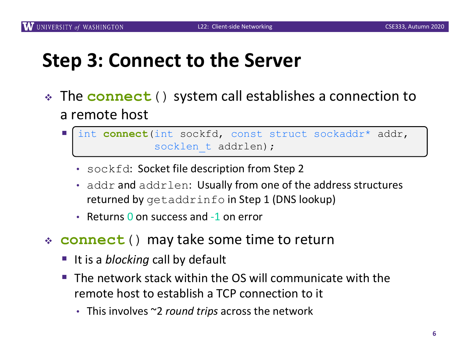## **Step 3: Connect to the Server**

- The **connect** () system call establishes a connection to a remote host
	- § int **connect**(int sockfd, const struct sockaddr\* addr, socklen t addrlen);
		- sockfd: Socket file description from Step 2
		- addr and addrlen: Usually from one of the address structures returned by getaddrinfo in Step 1 (DNS lookup)
		- Returns 0 on success and -1 on error
- <sup>v</sup> **connect**() may take some time to return
	- It is a *blocking* call by default
	- $\blacksquare$  The network stack within the OS will communicate with the remote host to establish a TCP connection to it
		- This involves ~2 *round trips* across the network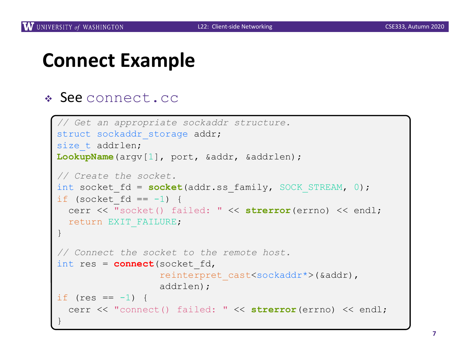### **Connect Example**

#### \* See connect.cc

```
// Get an appropriate sockaddr structure.
struct sockaddr storage addr;
size t addrlen;
LookupName(argv[1], port, &addr, &addrlen);
// Create the socket.
int socket fd = socket(addr.ss family, SOCK STREAM, 0);
if (socket fd == -1) {
  cerr << "socket() failed: " << strerror(errno) << endl;
 return EXIT_FAILURE;
}
// Connect the socket to the remote host.
int res = connect(socket_fd,
                  reinterpret_cast<sockaddr*>(&addr),
                  addrlen);
if (res == -1) {
  cerr << "connect() failed: " << strerror(errno) << endl;
}
```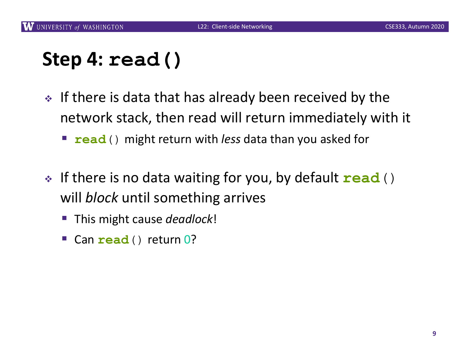## **Step 4: read()**

- $\cdot$  If there is data that has already been received by the network stack, then read will return immediately with it
	- **read**() might return with *less* data than you asked for
- **If there is no data waiting for you, by default read** () will *block* until something arrives
	- This might cause *deadlock*!
	- § Can **read**() return 0?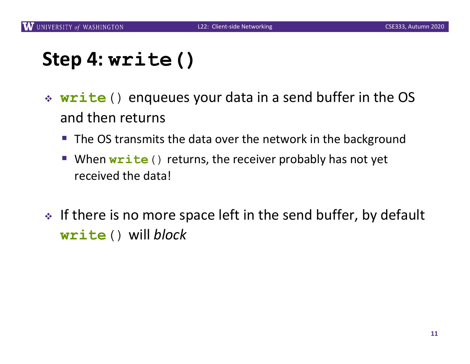## **Step 4: write()**

- \* **write** () enqueues your data in a send buffer in the OS and then returns
	- The OS transmits the data over the network in the background
	- When **write** () returns, the receiver probably has not yet received the data!
- $\cdot$  If there is no more space left in the send buffer, by default **write**() will *block*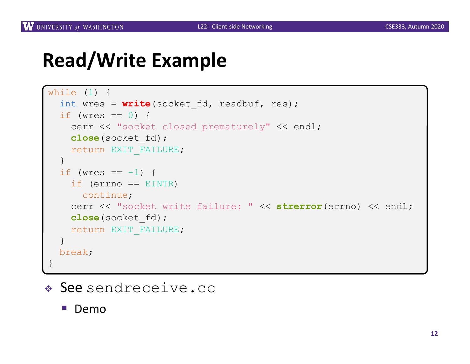### **Read/Write Example**

```
while (1) {
  int wres = write(socket fd, readbuf, res);
  if (wres == 0) {
    cerr << "socket closed prematurely" << endl;
   close(socket_fd);
   return EXIT_FAILURE;
  }
  if (wres == -1) {
   if (errno == EINTR)
    continue;
    cerr << "socket write failure: " << strerror(errno) << endl;
   close(socket_fd);
   return EXIT_FAILURE;
  }
 break;
}
```
### <sup>v</sup> See sendreceive.cc

§ Demo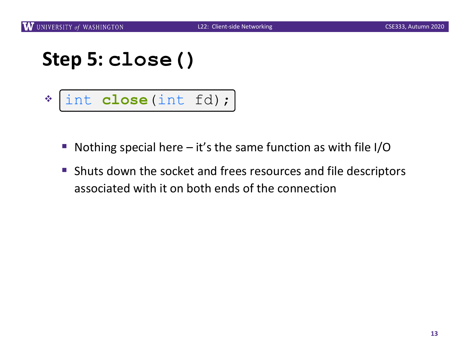### **Step 5: close()**

- $v_{\rm s}$ int **close**(int fd);
	- **Nothing special here it's the same function as with file I/O**
	- Shuts down the socket and frees resources and file descriptors associated with it on both ends of the connection